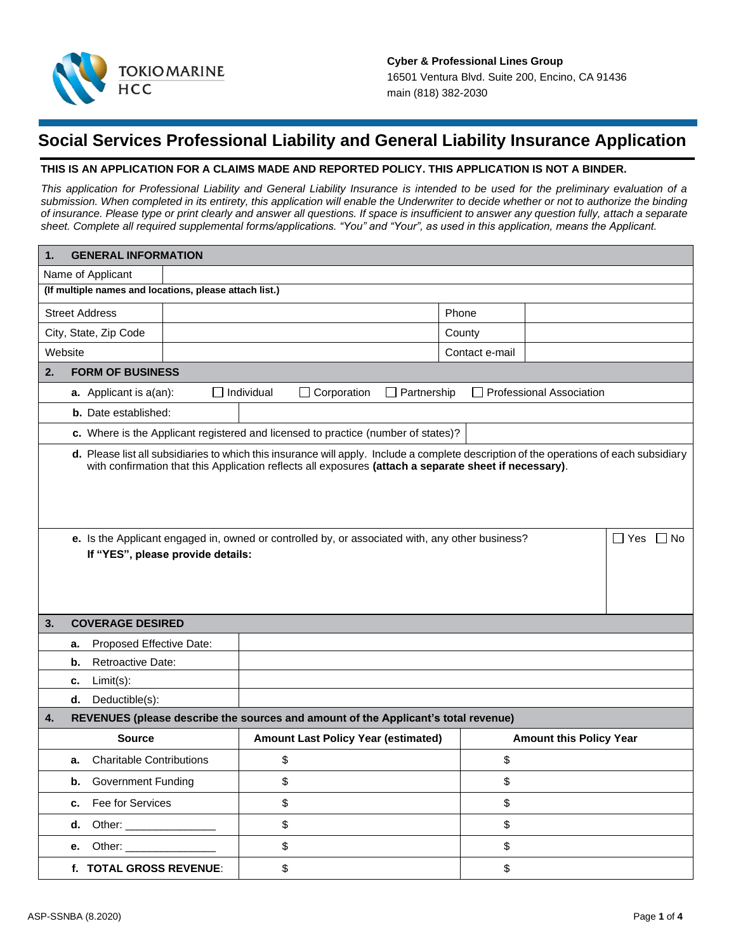

## **Social Services Professional Liability and General Liability Insurance Application**

## **THIS IS AN APPLICATION FOR A CLAIMS MADE AND REPORTED POLICY. THIS APPLICATION IS NOT A BINDER.**

*This application for Professional Liability and General Liability Insurance is intended to be used for the preliminary evaluation of a submission. When completed in its entirety, this application will enable the Underwriter to decide whether or not to authorize the binding of insurance. Please type or print clearly and answer all questions. If space is insufficient to answer any question fully, attach a separate sheet. Complete all required supplemental forms/applications. "You" and "Your", as used in this application, means the Applicant.*

| <b>GENERAL INFORMATION</b><br>1.                                                                                                                                                                                                                  |                                                                                                  |                |                                |  |  |  |  |
|---------------------------------------------------------------------------------------------------------------------------------------------------------------------------------------------------------------------------------------------------|--------------------------------------------------------------------------------------------------|----------------|--------------------------------|--|--|--|--|
| Name of Applicant                                                                                                                                                                                                                                 |                                                                                                  |                |                                |  |  |  |  |
| (If multiple names and locations, please attach list.)                                                                                                                                                                                            |                                                                                                  |                |                                |  |  |  |  |
| <b>Street Address</b>                                                                                                                                                                                                                             |                                                                                                  |                |                                |  |  |  |  |
| City, State, Zip Code                                                                                                                                                                                                                             |                                                                                                  | County         |                                |  |  |  |  |
| Website                                                                                                                                                                                                                                           |                                                                                                  | Contact e-mail |                                |  |  |  |  |
| <b>FORM OF BUSINESS</b><br>2.                                                                                                                                                                                                                     |                                                                                                  |                |                                |  |  |  |  |
| a. Applicant is a(an):                                                                                                                                                                                                                            | $\Box$ Individual<br>$\Box$ Partnership<br>$\Box$ Professional Association<br>Corporation<br>- 1 |                |                                |  |  |  |  |
| <b>b.</b> Date established:                                                                                                                                                                                                                       |                                                                                                  |                |                                |  |  |  |  |
|                                                                                                                                                                                                                                                   | c. Where is the Applicant registered and licensed to practice (number of states)?                |                |                                |  |  |  |  |
| d. Please list all subsidiaries to which this insurance will apply. Include a complete description of the operations of each subsidiary<br>with confirmation that this Application reflects all exposures (attach a separate sheet if necessary). |                                                                                                  |                |                                |  |  |  |  |
| If "YES", please provide details:<br><b>COVERAGE DESIRED</b>                                                                                                                                                                                      |                                                                                                  |                |                                |  |  |  |  |
| 3.<br>Proposed Effective Date:<br>a.                                                                                                                                                                                                              |                                                                                                  |                |                                |  |  |  |  |
| <b>Retroactive Date:</b><br>b.                                                                                                                                                                                                                    |                                                                                                  |                |                                |  |  |  |  |
| Limit(s):<br>c.                                                                                                                                                                                                                                   |                                                                                                  |                |                                |  |  |  |  |
| d.<br>Deductible(s):                                                                                                                                                                                                                              |                                                                                                  |                |                                |  |  |  |  |
| 4.                                                                                                                                                                                                                                                | REVENUES (please describe the sources and amount of the Applicant's total revenue)               |                |                                |  |  |  |  |
| <b>Source</b>                                                                                                                                                                                                                                     | <b>Amount Last Policy Year (estimated)</b>                                                       |                | <b>Amount this Policy Year</b> |  |  |  |  |
| <b>Charitable Contributions</b><br>a.                                                                                                                                                                                                             | \$                                                                                               | \$             |                                |  |  |  |  |
| <b>Government Funding</b><br>b.                                                                                                                                                                                                                   | \$                                                                                               | \$             |                                |  |  |  |  |
| c. Fee for Services                                                                                                                                                                                                                               | \$                                                                                               | \$             |                                |  |  |  |  |
|                                                                                                                                                                                                                                                   | \$                                                                                               | \$             |                                |  |  |  |  |
| e. Other: $\overline{\phantom{a}}$                                                                                                                                                                                                                | \$                                                                                               | \$             |                                |  |  |  |  |
| f. TOTAL GROSS REVENUE:                                                                                                                                                                                                                           | \$                                                                                               | \$             |                                |  |  |  |  |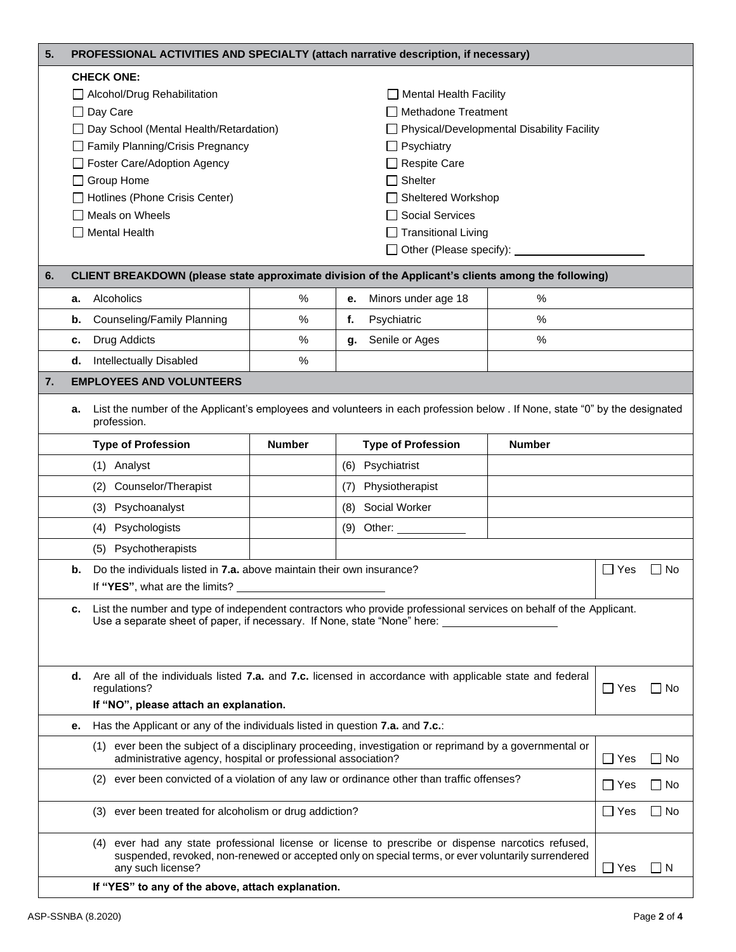| 5. |                                                                                                                                                                                                                               | PROFESSIONAL ACTIVITIES AND SPECIALTY (attach narrative description, if necessary)                                                        |               |                                                                   |                            |               |      |  |
|----|-------------------------------------------------------------------------------------------------------------------------------------------------------------------------------------------------------------------------------|-------------------------------------------------------------------------------------------------------------------------------------------|---------------|-------------------------------------------------------------------|----------------------------|---------------|------|--|
|    |                                                                                                                                                                                                                               | <b>CHECK ONE:</b>                                                                                                                         |               |                                                                   |                            |               |      |  |
|    |                                                                                                                                                                                                                               | □ Alcohol/Drug Rehabilitation<br>□ Mental Health Facility                                                                                 |               |                                                                   |                            |               |      |  |
|    | □ Day Care                                                                                                                                                                                                                    |                                                                                                                                           |               | Methadone Treatment                                               |                            |               |      |  |
|    | □ Day School (Mental Health/Retardation)<br>Family Planning/Crisis Pregnancy<br>□ Foster Care/Adoption Agency<br>□ Group Home                                                                                                 |                                                                                                                                           |               | □ Physical/Developmental Disability Facility<br>$\Box$ Psychiatry |                            |               |      |  |
|    |                                                                                                                                                                                                                               |                                                                                                                                           |               |                                                                   |                            |               |      |  |
|    |                                                                                                                                                                                                                               |                                                                                                                                           |               |                                                                   | $\Box$ Respite Care        |               |      |  |
|    |                                                                                                                                                                                                                               |                                                                                                                                           |               | $\sqsupset$ Shelter                                               |                            |               |      |  |
|    | Hotlines (Phone Crisis Center)                                                                                                                                                                                                |                                                                                                                                           |               | □ Sheltered Workshop                                              |                            |               |      |  |
|    |                                                                                                                                                                                                                               | Meals on Wheels                                                                                                                           |               | <b>Social Services</b>                                            |                            |               |      |  |
|    |                                                                                                                                                                                                                               | $\Box$ Mental Health                                                                                                                      |               |                                                                   | $\Box$ Transitional Living |               |      |  |
|    |                                                                                                                                                                                                                               |                                                                                                                                           |               |                                                                   |                            |               |      |  |
|    | Other (Please specify): __________                                                                                                                                                                                            |                                                                                                                                           |               |                                                                   |                            |               |      |  |
| 6. | CLIENT BREAKDOWN (please state approximate division of the Applicant's clients among the following)                                                                                                                           |                                                                                                                                           |               |                                                                   |                            |               |      |  |
|    | а.                                                                                                                                                                                                                            | Alcoholics                                                                                                                                | $\%$          | е.                                                                | Minors under age 18        | $\%$          |      |  |
|    | b.                                                                                                                                                                                                                            | <b>Counseling/Family Planning</b>                                                                                                         | %             | f.                                                                | Psychiatric                | %             |      |  |
|    | c.                                                                                                                                                                                                                            | Drug Addicts                                                                                                                              | %             | g.                                                                | Senile or Ages             | %             |      |  |
|    | d.                                                                                                                                                                                                                            | Intellectually Disabled                                                                                                                   | $\%$          |                                                                   |                            |               |      |  |
| 7. |                                                                                                                                                                                                                               | <b>EMPLOYEES AND VOLUNTEERS</b>                                                                                                           |               |                                                                   |                            |               |      |  |
|    | а.                                                                                                                                                                                                                            | List the number of the Applicant's employees and volunteers in each profession below. If None, state "0" by the designated<br>profession. |               |                                                                   |                            |               |      |  |
|    |                                                                                                                                                                                                                               | <b>Type of Profession</b>                                                                                                                 | <b>Number</b> |                                                                   | <b>Type of Profession</b>  | <b>Number</b> |      |  |
|    |                                                                                                                                                                                                                               | (1) Analyst                                                                                                                               |               |                                                                   | (6) Psychiatrist           |               |      |  |
|    |                                                                                                                                                                                                                               | Counselor/Therapist<br>(2)                                                                                                                |               | (7)                                                               | Physiotherapist            |               |      |  |
|    |                                                                                                                                                                                                                               | Psychoanalyst<br>(3)                                                                                                                      |               | (8)                                                               | Social Worker              |               |      |  |
|    |                                                                                                                                                                                                                               | Psychologists<br>(4)                                                                                                                      |               |                                                                   | $(9)$ Other: $\_\$         |               |      |  |
|    |                                                                                                                                                                                                                               | (5) Psychotherapists                                                                                                                      |               |                                                                   |                            |               |      |  |
|    | b.                                                                                                                                                                                                                            | Do the individuals listed in 7.a. above maintain their own insurance?<br>$\sqcup$ Yes<br>⊿ No                                             |               |                                                                   |                            |               |      |  |
|    |                                                                                                                                                                                                                               | If "YES", what are the limits?                                                                                                            |               |                                                                   |                            |               |      |  |
|    | List the number and type of independent contractors who provide professional services on behalf of the Applicant.<br>с.<br>Use a separate sheet of paper, if necessary. If None, state "None" here:                           |                                                                                                                                           |               |                                                                   |                            |               |      |  |
|    | Are all of the individuals listed 7.a. and 7.c. licensed in accordance with applicable state and federal<br>d.<br>regulations?<br>If "NO", please attach an explanation.                                                      |                                                                                                                                           |               |                                                                   | $\Box$ Yes                 | □ No          |      |  |
|    | е.                                                                                                                                                                                                                            | Has the Applicant or any of the individuals listed in question 7.a. and 7.c.:                                                             |               |                                                                   |                            |               |      |  |
|    | (1) ever been the subject of a disciplinary proceeding, investigation or reprimand by a governmental or<br>administrative agency, hospital or professional association?                                                       |                                                                                                                                           |               |                                                                   |                            | $\Box$ Yes    | ∐ No |  |
|    | (2) ever been convicted of a violation of any law or ordinance other than traffic offenses?                                                                                                                                   |                                                                                                                                           |               |                                                                   | $\Box$ Yes                 | ∃ No          |      |  |
|    | (3) ever been treated for alcoholism or drug addiction?                                                                                                                                                                       |                                                                                                                                           |               |                                                                   |                            | $\square$ Yes | □ No |  |
|    | (4) ever had any state professional license or license to prescribe or dispense narcotics refused,<br>suspended, revoked, non-renewed or accepted only on special terms, or ever voluntarily surrendered<br>any such license? |                                                                                                                                           |               |                                                                   |                            | $\square$ Yes | ∏ N  |  |
|    | If "YES" to any of the above, attach explanation.                                                                                                                                                                             |                                                                                                                                           |               |                                                                   |                            |               |      |  |
|    |                                                                                                                                                                                                                               |                                                                                                                                           |               |                                                                   |                            |               |      |  |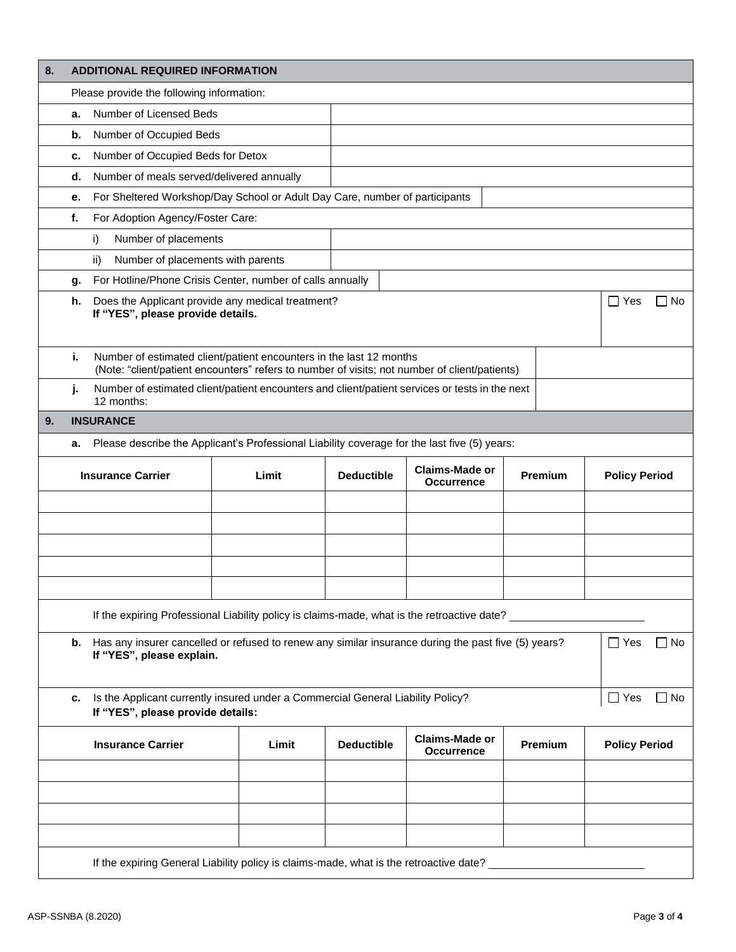| 8. | <b>ADDITIONAL REQUIRED INFORMATION</b>                                                 |                                                                                                                                                                       |       |                   |                                            |                |                      |  |  |
|----|----------------------------------------------------------------------------------------|-----------------------------------------------------------------------------------------------------------------------------------------------------------------------|-------|-------------------|--------------------------------------------|----------------|----------------------|--|--|
|    |                                                                                        | Please provide the following information:                                                                                                                             |       |                   |                                            |                |                      |  |  |
|    | a.                                                                                     | Number of Licensed Beds                                                                                                                                               |       |                   |                                            |                |                      |  |  |
|    | b.                                                                                     | Number of Occupied Beds                                                                                                                                               |       |                   |                                            |                |                      |  |  |
|    | c.                                                                                     | Number of Occupied Beds for Detox                                                                                                                                     |       |                   |                                            |                |                      |  |  |
|    | d.                                                                                     | Number of meals served/delivered annually                                                                                                                             |       |                   |                                            |                |                      |  |  |
|    | е.                                                                                     | For Sheltered Workshop/Day School or Adult Day Care, number of participants                                                                                           |       |                   |                                            |                |                      |  |  |
|    | f.                                                                                     | For Adoption Agency/Foster Care:                                                                                                                                      |       |                   |                                            |                |                      |  |  |
|    |                                                                                        | i)<br>Number of placements                                                                                                                                            |       |                   |                                            |                |                      |  |  |
|    |                                                                                        | ii)<br>Number of placements with parents                                                                                                                              |       |                   |                                            |                |                      |  |  |
|    | g.                                                                                     | For Hotline/Phone Crisis Center, number of calls annually                                                                                                             |       |                   |                                            |                |                      |  |  |
|    | h.                                                                                     | Does the Applicant provide any medical treatment?<br>$\Box$ Yes<br>l No<br>If "YES", please provide details.                                                          |       |                   |                                            |                |                      |  |  |
|    | i.                                                                                     | Number of estimated client/patient encounters in the last 12 months<br>(Note: "client/patient encounters" refers to number of visits; not number of client/patients)  |       |                   |                                            |                |                      |  |  |
|    | j.                                                                                     | Number of estimated client/patient encounters and client/patient services or tests in the next<br>12 months:                                                          |       |                   |                                            |                |                      |  |  |
| 9. |                                                                                        | <b>INSURANCE</b>                                                                                                                                                      |       |                   |                                            |                |                      |  |  |
|    | а.                                                                                     | Please describe the Applicant's Professional Liability coverage for the last five (5) years:                                                                          |       |                   |                                            |                |                      |  |  |
|    | <b>Insurance Carrier</b><br>Limit                                                      |                                                                                                                                                                       |       | <b>Deductible</b> | <b>Claims-Made or</b><br><b>Occurrence</b> | Premium        | <b>Policy Period</b> |  |  |
|    |                                                                                        |                                                                                                                                                                       |       |                   |                                            |                |                      |  |  |
|    |                                                                                        |                                                                                                                                                                       |       |                   |                                            |                |                      |  |  |
|    |                                                                                        |                                                                                                                                                                       |       |                   |                                            |                |                      |  |  |
|    |                                                                                        |                                                                                                                                                                       |       |                   |                                            |                |                      |  |  |
|    |                                                                                        |                                                                                                                                                                       |       |                   |                                            |                |                      |  |  |
|    |                                                                                        | If the expiring Professional Liability policy is claims-made, what is the retroactive date?                                                                           |       |                   |                                            |                |                      |  |  |
|    |                                                                                        | <b>b.</b> Has any insurer cancelled or refused to renew any similar insurance during the past five (5) years?<br>$\Box$ Yes<br>$\Box$ No<br>If "YES", please explain. |       |                   |                                            |                |                      |  |  |
|    | c.                                                                                     | Is the Applicant currently insured under a Commercial General Liability Policy?<br>$\Box$ Yes<br>□ No<br>If "YES", please provide details:                            |       |                   |                                            |                |                      |  |  |
|    |                                                                                        | <b>Insurance Carrier</b>                                                                                                                                              | Limit | <b>Deductible</b> | <b>Claims-Made or</b><br><b>Occurrence</b> | <b>Premium</b> | <b>Policy Period</b> |  |  |
|    |                                                                                        |                                                                                                                                                                       |       |                   |                                            |                |                      |  |  |
|    |                                                                                        |                                                                                                                                                                       |       |                   |                                            |                |                      |  |  |
|    |                                                                                        |                                                                                                                                                                       |       |                   |                                            |                |                      |  |  |
|    |                                                                                        |                                                                                                                                                                       |       |                   |                                            |                |                      |  |  |
|    | If the expiring General Liability policy is claims-made, what is the retroactive date? |                                                                                                                                                                       |       |                   |                                            |                |                      |  |  |